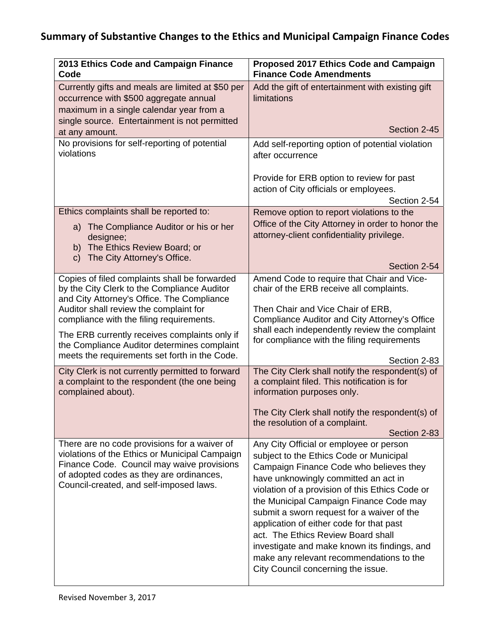## **Summary of Substantive Changes to the Ethics and Municipal Campaign Finance Codes**

| 2013 Ethics Code and Campaign Finance<br>Code                                                                                                                                                                                                                                                                                    | Proposed 2017 Ethics Code and Campaign<br><b>Finance Code Amendments</b>                                                                                                                                                                                                                                                                                                                                                                                                                                                              |
|----------------------------------------------------------------------------------------------------------------------------------------------------------------------------------------------------------------------------------------------------------------------------------------------------------------------------------|---------------------------------------------------------------------------------------------------------------------------------------------------------------------------------------------------------------------------------------------------------------------------------------------------------------------------------------------------------------------------------------------------------------------------------------------------------------------------------------------------------------------------------------|
| Currently gifts and meals are limited at \$50 per<br>occurrence with \$500 aggregate annual<br>maximum in a single calendar year from a<br>single source. Entertainment is not permitted                                                                                                                                         | Add the gift of entertainment with existing gift<br><b>limitations</b>                                                                                                                                                                                                                                                                                                                                                                                                                                                                |
| at any amount.                                                                                                                                                                                                                                                                                                                   | Section 2-45                                                                                                                                                                                                                                                                                                                                                                                                                                                                                                                          |
| No provisions for self-reporting of potential<br>violations                                                                                                                                                                                                                                                                      | Add self-reporting option of potential violation<br>after occurrence                                                                                                                                                                                                                                                                                                                                                                                                                                                                  |
|                                                                                                                                                                                                                                                                                                                                  | Provide for ERB option to review for past<br>action of City officials or employees.<br>Section 2-54                                                                                                                                                                                                                                                                                                                                                                                                                                   |
| Ethics complaints shall be reported to:<br>a) The Compliance Auditor or his or her<br>designee;<br>b) The Ethics Review Board; or<br>The City Attorney's Office.<br>$\mathsf{C}$                                                                                                                                                 | Remove option to report violations to the<br>Office of the City Attorney in order to honor the<br>attorney-client confidentiality privilege.                                                                                                                                                                                                                                                                                                                                                                                          |
| Copies of filed complaints shall be forwarded                                                                                                                                                                                                                                                                                    | Section 2-54<br>Amend Code to require that Chair and Vice-                                                                                                                                                                                                                                                                                                                                                                                                                                                                            |
| by the City Clerk to the Compliance Auditor<br>and City Attorney's Office. The Compliance<br>Auditor shall review the complaint for<br>compliance with the filing requirements.<br>The ERB currently receives complaints only if<br>the Compliance Auditor determines complaint<br>meets the requirements set forth in the Code. | chair of the ERB receive all complaints.<br>Then Chair and Vice Chair of ERB,<br>Compliance Auditor and City Attorney's Office<br>shall each independently review the complaint<br>for compliance with the filing requirements<br>Section 2-83                                                                                                                                                                                                                                                                                        |
| City Clerk is not currently permitted to forward<br>a complaint to the respondent (the one being<br>complained about).                                                                                                                                                                                                           | The City Clerk shall notify the respondent(s) of<br>a complaint filed. This notification is for<br>information purposes only.<br>The City Clerk shall notify the respondent(s) of<br>the resolution of a complaint.<br>Section 2-83                                                                                                                                                                                                                                                                                                   |
| There are no code provisions for a waiver of<br>violations of the Ethics or Municipal Campaign<br>Finance Code. Council may waive provisions<br>of adopted codes as they are ordinances,<br>Council-created, and self-imposed laws.                                                                                              | Any City Official or employee or person<br>subject to the Ethics Code or Municipal<br>Campaign Finance Code who believes they<br>have unknowingly committed an act in<br>violation of a provision of this Ethics Code or<br>the Municipal Campaign Finance Code may<br>submit a sworn request for a waiver of the<br>application of either code for that past<br>act. The Ethics Review Board shall<br>investigate and make known its findings, and<br>make any relevant recommendations to the<br>City Council concerning the issue. |